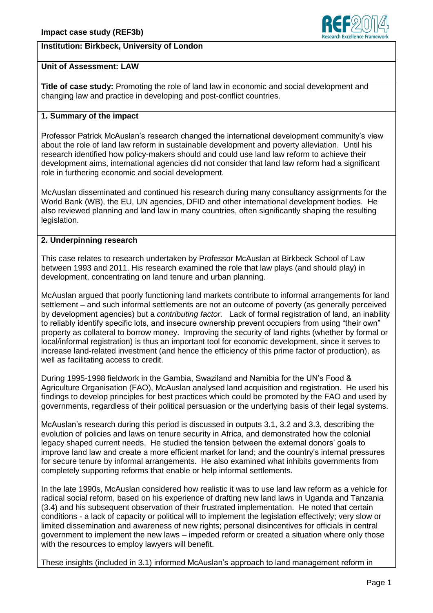# **Institution: Birkbeck, University of London**



#### **Unit of Assessment: LAW**

**Title of case study:** Promoting the role of land law in economic and social development and changing law and practice in developing and post-conflict countries.

# **1. Summary of the impact**

Professor Patrick McAuslan's research changed the international development community's view about the role of land law reform in sustainable development and poverty alleviation. Until his research identified how policy-makers should and could use land law reform to achieve their development aims, international agencies did not consider that land law reform had a significant role in furthering economic and social development.

McAuslan disseminated and continued his research during many consultancy assignments for the World Bank (WB), the EU, UN agencies, DFID and other international development bodies. He also reviewed planning and land law in many countries, often significantly shaping the resulting legislation.

#### **2. Underpinning research**

This case relates to research undertaken by Professor McAuslan at Birkbeck School of Law between 1993 and 2011. His research examined the role that law plays (and should play) in development, concentrating on land tenure and urban planning.

McAuslan argued that poorly functioning land markets contribute to informal arrangements for land settlement – and such informal settlements are not an outcome of poverty (as generally perceived by development agencies) but a *contributing factor.* Lack of formal registration of land, an inability to reliably identify specific lots, and insecure ownership prevent occupiers from using "their own" property as collateral to borrow money. Improving the security of land rights (whether by formal or local/informal registration) is thus an important tool for economic development, since it serves to increase land-related investment (and hence the efficiency of this prime factor of production), as well as facilitating access to credit.

During 1995-1998 fieldwork in the Gambia, Swaziland and Namibia for the UN's Food & Agriculture Organisation (FAO), McAuslan analysed land acquisition and registration. He used his findings to develop principles for best practices which could be promoted by the FAO and used by governments, regardless of their political persuasion or the underlying basis of their legal systems.

McAuslan's research during this period is discussed in outputs 3.1, 3.2 and 3.3, describing the evolution of policies and laws on tenure security in Africa, and demonstrated how the colonial legacy shaped current needs. He studied the tension between the external donors' goals to improve land law and create a more efficient market for land; and the country's internal pressures for secure tenure by informal arrangements. He also examined what inhibits governments from completely supporting reforms that enable or help informal settlements.

In the late 1990s, McAuslan considered how realistic it was to use land law reform as a vehicle for radical social reform, based on his experience of drafting new land laws in Uganda and Tanzania (3.4) and his subsequent observation of their frustrated implementation. He noted that certain conditions - a lack of capacity or political will to implement the legislation effectively; very slow or limited dissemination and awareness of new rights; personal disincentives for officials in central government to implement the new laws – impeded reform or created a situation where only those with the resources to employ lawyers will benefit.

These insights (included in 3.1) informed McAuslan's approach to land management reform in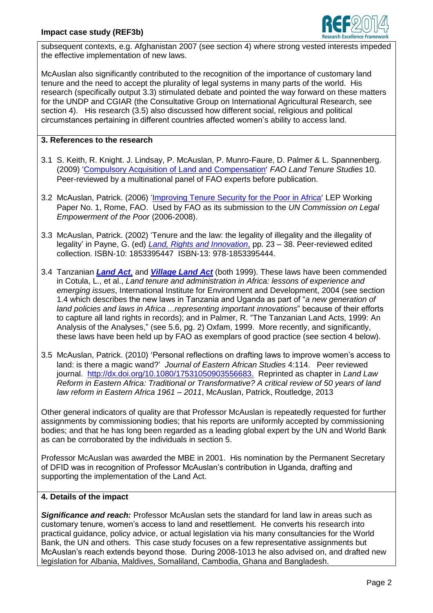

subsequent contexts, e.g. Afghanistan 2007 (see section 4) where strong vested interests impeded the effective implementation of new laws.

McAuslan also significantly contributed to the recognition of the importance of customary land tenure and the need to accept the plurality of legal systems in many parts of the world. His research (specifically output 3.3) stimulated debate and pointed the way forward on these matters for the UNDP and CGIAR (the Consultative Group on International Agricultural Research, see section 4). His research (3.5) also discussed how different social, religious and political circumstances pertaining in different countries affected women's ability to access land.

# **3. References to the research**

- 3.1 S. Keith, R. Knight. J. Lindsay, P. McAuslan, P. Munro-Faure, D. Palmer & L. Spannenberg. (2009) ['Compulsory Acquisition of Land and Compensation](http://www.fao.org/docrep/011/i0506e/i0506e00.htm)' *FAO Land Tenure Studies* 10. Peer-reviewed by a multinational panel of FAO experts before publication.
- 3.2 McAuslan, Patrick. (2006) ['Improving Tenure Security for the](ftp://ftp.fao.org/docrep/fao/010/k0781e/k0781e00.pdf) Poor in Africa' LEP Working Paper No. 1, Rome, FAO. Used by FAO as its submission to the *UN Commission on Legal Empowerment of the Poor* (2006-2008).
- 3.3 McAuslan, Patrick. (2002) 'Tenure and the law: the legality of illegality and the illegality of legality' in Payne, G. (ed) *[Land, Rights and Innovation](http://developmentbookshop.com/catalogsearch/result/?q=land+rights+innovation)*, pp. 23 – 38. Peer-reviewed edited collection. ISBN-10: 1853395447 ISBN-13: 978-1853395444.
- 3.4 Tanzanian *[Land Act](http://faolex.fao.org/docs/pdf/tan23795.pdf)*, and *[Village Land Act](http://polis.parliament.go.tz/PAMS/docs/5-1999.pdf)* (both 1999). These laws have been commended in Cotula, L., et al., *Land tenure and administration in Africa: lessons of experience and emerging issues*, International Institute for Environment and Development, 2004 (see section 1.4 which describes the new laws in Tanzania and Uganda as part of "*a new generation of land policies and laws in Africa ...representing important innovations*" because of their efforts to capture all land rights in records); and in Palmer, R. "The Tanzanian Land Acts, 1999: An Analysis of the Analyses," (see 5.6, pg. 2) Oxfam, 1999. More recently, and significantly, these laws have been held up by FAO as exemplars of good practice (see section 4 below).
- 3.5 McAuslan, Patrick. (2010) 'Personal reflections on drafting laws to improve women's access to land: is there a magic wand?' *Journal of Eastern African Studies* 4:114. Peer reviewed journal. [http://dx.doi.org/10.1080/17531050903556683.](http://dx.doi.org/10.1080/17531050903556683) Reprinted as chapter in *Land Law Reform in Eastern Africa: Traditional or Transformative? A critical review of 50 years of land law reform in Eastern Africa 1961 – 2011*, McAuslan, Patrick, Routledge, 2013

Other general indicators of quality are that Professor McAuslan is repeatedly requested for further assignments by commissioning bodies; that his reports are uniformly accepted by commissioning bodies; and that he has long been regarded as a leading global expert by the UN and World Bank as can be corroborated by the individuals in section 5.

Professor McAuslan was awarded the MBE in 2001. His nomination by the Permanent Secretary of DFID was in recognition of Professor McAuslan's contribution in Uganda, drafting and supporting the implementation of the Land Act.

# **4. Details of the impact**

*Significance and reach:* Professor McAuslan sets the standard for land law in areas such as customary tenure, women's access to land and resettlement. He converts his research into practical guidance, policy advice, or actual legislation via his many consultancies for the World Bank, the UN and others. This case study focuses on a few representative assignments but McAuslan's reach extends beyond those. During 2008-1013 he also advised on, and drafted new legislation for Albania, Maldives, Somaliland, Cambodia, Ghana and Bangladesh.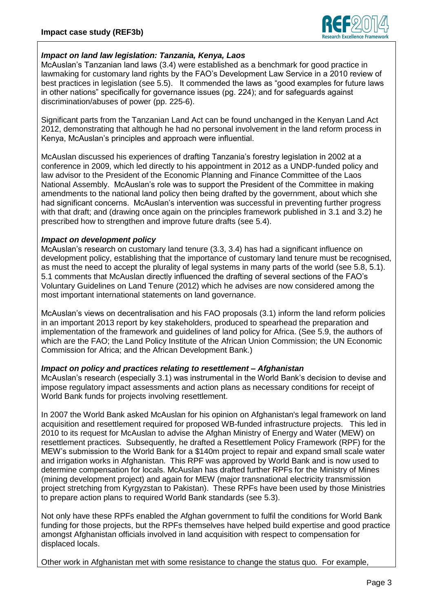

# *Impact on land law legislation: Tanzania, Kenya, Laos*

McAuslan's Tanzanian land laws (3.4) were established as a benchmark for good practice in lawmaking for customary land rights by the FAO's Development Law Service in a 2010 review of best practices in legislation (see 5.5). It commended the laws as "good examples for future laws in other nations" specifically for governance issues (pg. 224); and for safeguards against discrimination/abuses of power (pp. 225-6).

Significant parts from the Tanzanian Land Act can be found unchanged in the Kenyan Land Act 2012, demonstrating that although he had no personal involvement in the land reform process in Kenya, McAuslan's principles and approach were influential.

McAuslan discussed his experiences of drafting Tanzania's forestry legislation in 2002 at a conference in 2009, which led directly to his appointment in 2012 as a UNDP-funded policy and law advisor to the President of the Economic Planning and Finance Committee of the Laos National Assembly. McAuslan's role was to support the President of the Committee in making amendments to the national land policy then being drafted by the government, about which she had significant concerns. McAuslan's intervention was successful in preventing further progress with that draft; and (drawing once again on the principles framework published in 3.1 and 3.2) he prescribed how to strengthen and improve future drafts (see 5.4).

## *Impact on development policy*

McAuslan's research on customary land tenure (3.3, 3.4) has had a significant influence on development policy, establishing that the importance of customary land tenure must be recognised, as must the need to accept the plurality of legal systems in many parts of the world (see 5.8, 5.1). 5.1 comments that McAuslan directly influenced the drafting of several sections of the FAO's Voluntary Guidelines on Land Tenure (2012) which he advises are now considered among the most important international statements on land governance.

McAuslan's views on decentralisation and his FAO proposals (3.1) inform the land reform policies in an important 2013 report by key stakeholders, produced to spearhead the preparation and implementation of the framework and guidelines of land policy for Africa. (See 5.9, the authors of which are the FAO; the Land Policy Institute of the African Union Commission; the UN Economic Commission for Africa; and the African Development Bank.)

#### *Impact on policy and practices relating to resettlement – Afghanistan*

McAuslan's research (especially 3.1) was instrumental in the World Bank's decision to devise and impose regulatory impact assessments and action plans as necessary conditions for receipt of World Bank funds for projects involving resettlement.

In 2007 the World Bank asked McAuslan for his opinion on Afghanistan's legal framework on land acquisition and resettlement required for proposed WB-funded infrastructure projects. This led in 2010 to its request for McAuslan to advise the Afghan Ministry of Energy and Water (MEW) on resettlement practices. Subsequently, he drafted a Resettlement Policy Framework (RPF) for the MEW's submission to the World Bank for a \$140m project to repair and expand small scale water and irrigation works in Afghanistan. This RPF was approved by World Bank and is now used to determine compensation for locals. McAuslan has drafted further RPFs for the Ministry of Mines (mining development project) and again for MEW (major transnational electricity transmission project stretching from Kyrgyzstan to Pakistan). These RPFs have been used by those Ministries to prepare action plans to required World Bank standards (see 5.3).

Not only have these RPFs enabled the Afghan government to fulfil the conditions for World Bank funding for those projects, but the RPFs themselves have helped build expertise and good practice amongst Afghanistan officials involved in land acquisition with respect to compensation for displaced locals.

Other work in Afghanistan met with some resistance to change the status quo. For example,